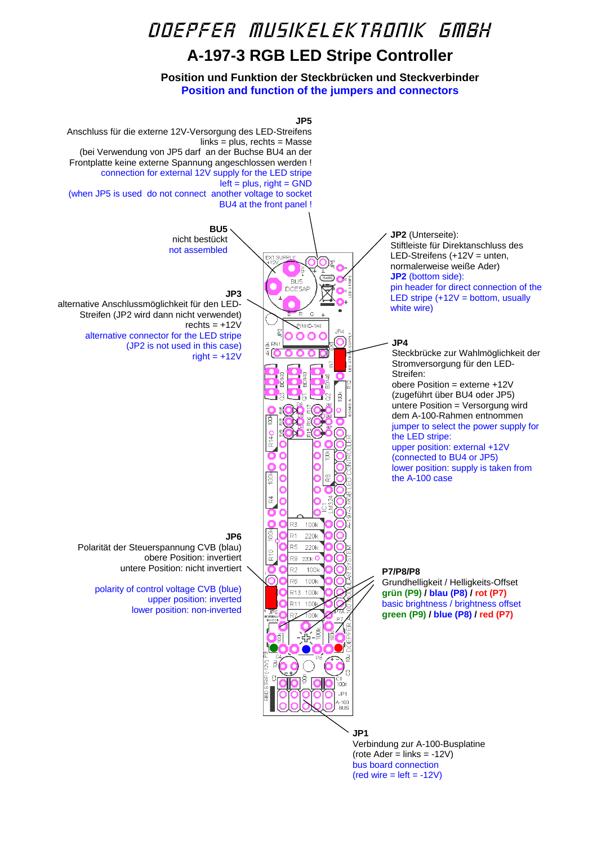## DOEPFER MUSIKELEKTRONIK GMBH **A-197-3 RGB LED Stripe Controller**

**Position und Funktion der Steckbrücken und Steckverbinder Position and function of the jumpers and connectors**